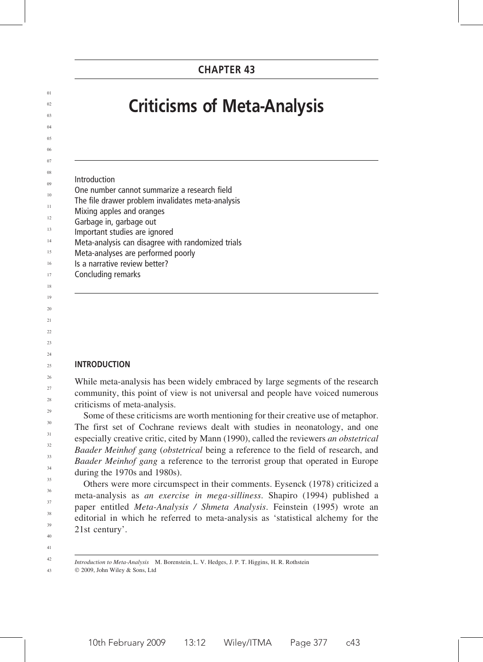# CHAPTER 43

# Criticisms of Meta-Analysis

Introduction

- One number cannot summarize a research field 10
- The file drawer problem invalidates meta-analysis 11
- Mixing apples and oranges 12
- Garbage in, garbage out
- Important studies are ignored 13
- Meta-analysis can disagree with randomized trials 14
- Meta-analyses are performed poorly 15
- Is a narrative review better? 16
- Concluding remarks 17

# INTRODUCTION

While meta-analysis has been widely embraced by large segments of the research community, this point of view is not universal and people have voiced numerous criticisms of meta-analysis.

Some of these criticisms are worth mentioning for their creative use of metaphor. The first set of Cochrane reviews dealt with studies in neonatology, and one especially creative critic, cited by Mann (1990), called the reviewers an obstetrical Baader Meinhof gang (obstetrical being a reference to the field of research, and Baader Meinhof gang a reference to the terrorist group that operated in Europe during the 1970s and 1980s).

Others were more circumspect in their comments. Eysenck (1978) criticized a meta-analysis as an exercise in mega-silliness. Shapiro (1994) published a paper entitled Meta-Analysis / Shmeta Analysis. Feinstein (1995) wrote an editorial in which he referred to meta-analysis as 'statistical alchemy for the 21st century'.

- 2009, John Wiley & Sons, Ltd

Introduction to Meta-Analysis M. Borenstein, L. V. Hedges, J. P. T. Higgins, H. R. Rothstein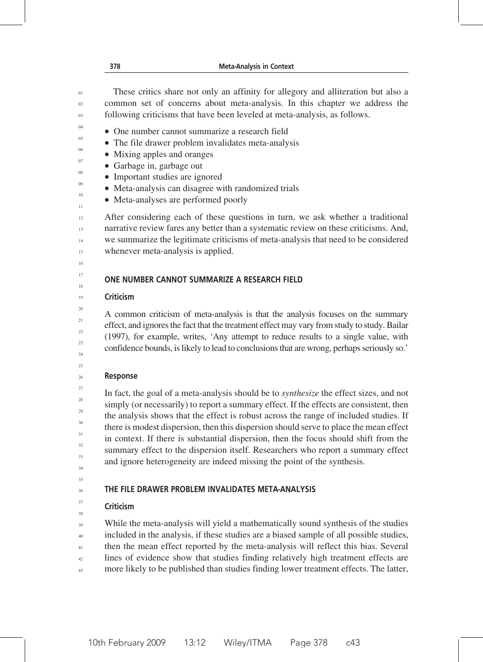These critics share not only an affinity for allegory and alliteration but also a common set of concerns about meta-analysis. In this chapter we address the following criticisms that have been leveled at meta-analysis, as follows.

- One number cannot summarize a research field
	- The file drawer problem invalidates meta-analysis
	- Mixing apples and oranges
	- Garbage in, garbage out
- Important studies are ignored
- Meta-analysis can disagree with randomized trials
- Meta-analyses are performed poorly

After considering each of these questions in turn, we ask whether a traditional narrative review fares any better than a systematic review on these criticisms. And, we summarize the legitimate criticisms of meta-analysis that need to be considered whenever meta-analysis is applied.

# ONE NUMBER CANNOT SUMMARIZE A RESEARCH FIELD

#### Criticism 19

A common criticism of meta-analysis is that the analysis focuses on the summary effect, and ignores the fact that the treatment effect may vary from study to study. Bailar (1997), for example, writes, 'Any attempt to reduce results to a single value, with confidence bounds, is likely to lead to conclusions that are wrong, perhaps seriously so.'

 $24$  $25$ 26

# Response

In fact, the goal of a meta-analysis should be to synthesize the effect sizes, and not simply (or necessarily) to report a summary effect. If the effects are consistent, then the analysis shows that the effect is robust across the range of included studies. If there is modest dispersion, then this dispersion should serve to place the mean effect in context. If there is substantial dispersion, then the focus should shift from the summary effect to the dispersion itself. Researchers who report a summary effect and ignore heterogeneity are indeed missing the point of the synthesis.

34 35 36

# THE FILE DRAWER PROBLEM INVALIDATES META-ANALYSIS

#### Criticism 37 38

While the meta-analysis will yield a mathematically sound synthesis of the studies included in the analysis, if these studies are a biased sample of all possible studies, then the mean effect reported by the meta-analysis will reflect this bias. Several lines of evidence show that studies finding relatively high treatment effects are more likely to be published than studies finding lower treatment effects. The latter, 39 40 41  $42$ 43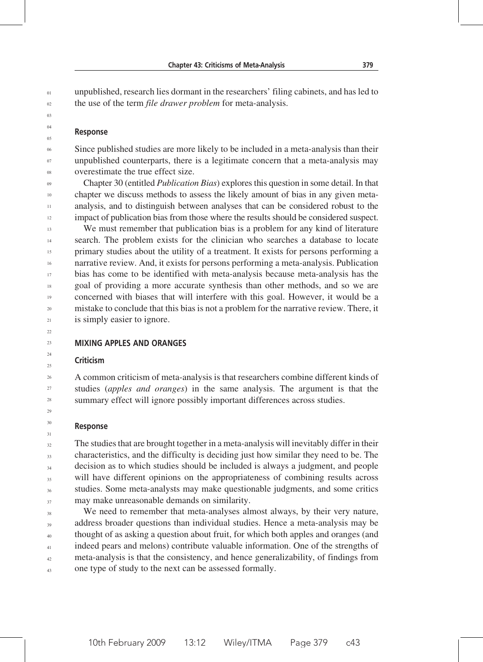unpublished, research lies dormant in the researchers' filing cabinets, and has led to the use of the term file drawer problem for meta-analysis.

#### Response

Since published studies are more likely to be included in a meta-analysis than their unpublished counterparts, there is a legitimate concern that a meta-analysis may overestimate the true effect size.

Chapter 30 (entitled Publication Bias) explores this question in some detail. In that chapter we discuss methods to assess the likely amount of bias in any given metaanalysis, and to distinguish between analyses that can be considered robust to the impact of publication bias from those where the results should be considered suspect.

We must remember that publication bias is a problem for any kind of literature search. The problem exists for the clinician who searches a database to locate primary studies about the utility of a treatment. It exists for persons performing a narrative review. And, it exists for persons performing a meta-analysis. Publication bias has come to be identified with meta-analysis because meta-analysis has the goal of providing a more accurate synthesis than other methods, and so we are concerned with biases that will interfere with this goal. However, it would be a mistake to conclude that this bias is not a problem for the narrative review. There, it is simply easier to ignore.

### MIXING APPLES AND ORANGES

#### **Criticism**

A common criticism of meta-analysis is that researchers combine different kinds of studies (apples and oranges) in the same analysis. The argument is that the summary effect will ignore possibly important differences across studies.

#### Response

The studies that are brought together in a meta-analysis will inevitably differ in their characteristics, and the difficulty is deciding just how similar they need to be. The decision as to which studies should be included is always a judgment, and people will have different opinions on the appropriateness of combining results across studies. Some meta-analysts may make questionable judgments, and some critics may make unreasonable demands on similarity.

We need to remember that meta-analyses almost always, by their very nature, address broader questions than individual studies. Hence a meta-analysis may be thought of as asking a question about fruit, for which both apples and oranges (and indeed pears and melons) contribute valuable information. One of the strengths of meta-analysis is that the consistency, and hence generalizability, of findings from one type of study to the next can be assessed formally. 39 40 41 42 43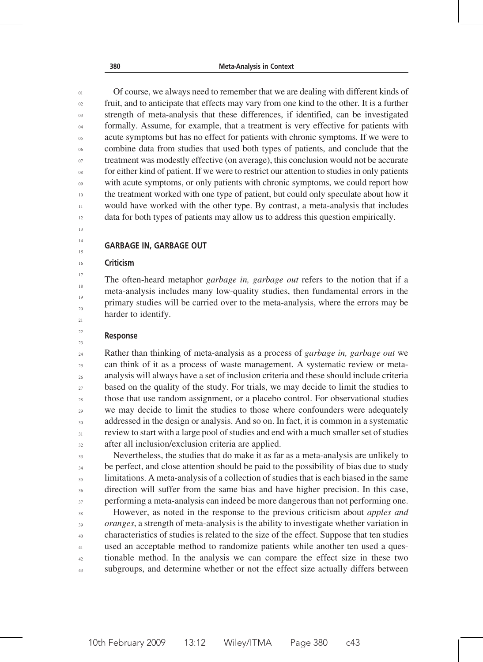Of course, we always need to remember that we are dealing with different kinds of fruit, and to anticipate that effects may vary from one kind to the other. It is a further strength of meta-analysis that these differences, if identified, can be investigated formally. Assume, for example, that a treatment is very effective for patients with acute symptoms but has no effect for patients with chronic symptoms. If we were to combine data from studies that used both types of patients, and conclude that the treatment was modestly effective (on average), this conclusion would not be accurate for either kind of patient. If we were to restrict our attention to studies in only patients with acute symptoms, or only patients with chronic symptoms, we could report how the treatment worked with one type of patient, but could only speculate about how it would have worked with the other type. By contrast, a meta-analysis that includes data for both types of patients may allow us to address this question empirically.

#### 12 13 14

## GARBAGE IN, GARBAGE OUT

#### Criticism

The often-heard metaphor *garbage in, garbage out* refers to the notion that if a meta-analysis includes many low-quality studies, then fundamental errors in the primary studies will be carried over to the meta-analysis, where the errors may be harder to identify.

### Response

Rather than thinking of meta-analysis as a process of garbage in, garbage out we can think of it as a process of waste management. A systematic review or metaanalysis will always have a set of inclusion criteria and these should include criteria based on the quality of the study. For trials, we may decide to limit the studies to those that use random assignment, or a placebo control. For observational studies we may decide to limit the studies to those where confounders were adequately addressed in the design or analysis. And so on. In fact, it is common in a systematic review to start with a large pool of studies and end with a much smaller set of studies after all inclusion/exclusion criteria are applied.  $24$  $25$ 26 27  $28$  $29$ 30 31 32

Nevertheless, the studies that do make it as far as a meta-analysis are unlikely to be perfect, and close attention should be paid to the possibility of bias due to study limitations. A meta-analysis of a collection of studies that is each biased in the same direction will suffer from the same bias and have higher precision. In this case, performing a meta-analysis can indeed be more dangerous than not performing one.

However, as noted in the response to the previous criticism about apples and oranges, a strength of meta-analysis is the ability to investigate whether variation in characteristics of studies is related to the size of the effect. Suppose that ten studies used an acceptable method to randomize patients while another ten used a questionable method. In the analysis we can compare the effect size in these two subgroups, and determine whether or not the effect size actually differs between 38 39 40 41 42 43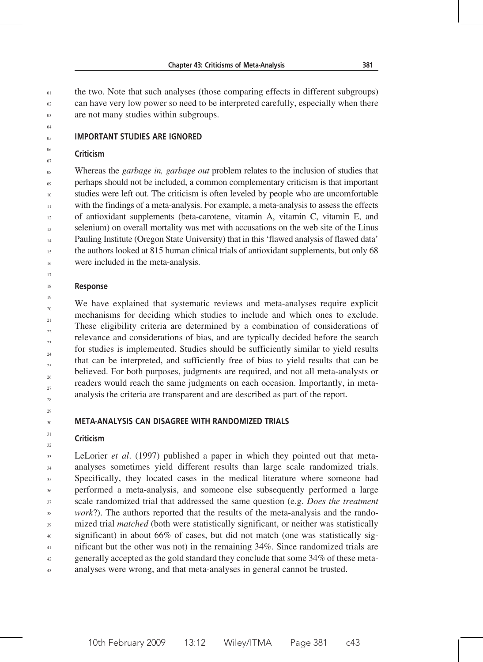the two. Note that such analyses (those comparing effects in different subgroups) can have very low power so need to be interpreted carefully, especially when there are not many studies within subgroups.

# IMPORTANT STUDIES ARE IGNORED

## **Criticism**

Whereas the *garbage in, garbage out* problem relates to the inclusion of studies that perhaps should not be included, a common complementary criticism is that important studies were left out. The criticism is often leveled by people who are uncomfortable with the findings of a meta-analysis. For example, a meta-analysis to assess the effects of antioxidant supplements (beta-carotene, vitamin A, vitamin C, vitamin E, and selenium) on overall mortality was met with accusations on the web site of the Linus Pauling Institute (Oregon State University) that in this 'flawed analysis of flawed data' the authors looked at 815 human clinical trials of antioxidant supplements, but only 68 were included in the meta-analysis.

## Response

We have explained that systematic reviews and meta-analyses require explicit mechanisms for deciding which studies to include and which ones to exclude. These eligibility criteria are determined by a combination of considerations of relevance and considerations of bias, and are typically decided before the search for studies is implemented. Studies should be sufficiently similar to yield results that can be interpreted, and sufficiently free of bias to yield results that can be believed. For both purposes, judgments are required, and not all meta-analysts or readers would reach the same judgments on each occasion. Importantly, in metaanalysis the criteria are transparent and are described as part of the report.

# META-ANALYSIS CAN DISAGREE WITH RANDOMIZED TRIALS

# **Criticism**

LeLorier et al. (1997) published a paper in which they pointed out that metaanalyses sometimes yield different results than large scale randomized trials. Specifically, they located cases in the medical literature where someone had performed a meta-analysis, and someone else subsequently performed a large scale randomized trial that addressed the same question (e.g. Does the treatment work?). The authors reported that the results of the meta-analysis and the randomized trial matched (both were statistically significant, or neither was statistically significant) in about 66% of cases, but did not match (one was statistically significant but the other was not) in the remaining 34%. Since randomized trials are generally accepted as the gold standard they conclude that some 34% of these metaanalyses were wrong, and that meta-analyses in general cannot be trusted. 33 34 35 36 37 38 39 40 41 42 43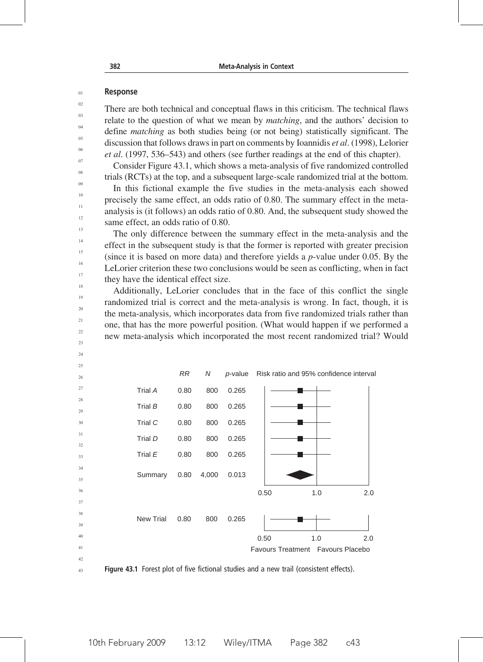#### Response 01

43

There are both technical and conceptual flaws in this criticism. The technical flaws relate to the question of what we mean by matching, and the authors' decision to define matching as both studies being (or not being) statistically significant. The discussion that follows draws in part on comments by Ioannidis et al. (1998), Lelorier et al. (1997, 536–543) and others (see further readings at the end of this chapter).

Consider Figure 43.1, which shows a meta-analysis of five randomized controlled trials (RCTs) at the top, and a subsequent large-scale randomized trial at the bottom.

In this fictional example the five studies in the meta-analysis each showed precisely the same effect, an odds ratio of 0.80. The summary effect in the metaanalysis is (it follows) an odds ratio of 0.80. And, the subsequent study showed the same effect, an odds ratio of 0.80.

The only difference between the summary effect in the meta-analysis and the effect in the subsequent study is that the former is reported with greater precision (since it is based on more data) and therefore yields a  $p$ -value under 0.05. By the LeLorier criterion these two conclusions would be seen as conflicting, when in fact they have the identical effect size.

Additionally, LeLorier concludes that in the face of this conflict the single randomized trial is correct and the meta-analysis is wrong. In fact, though, it is the meta-analysis, which incorporates data from five randomized trials rather than one, that has the more powerful position. (What would happen if we performed a new meta-analysis which incorporated the most recent randomized trial? Would



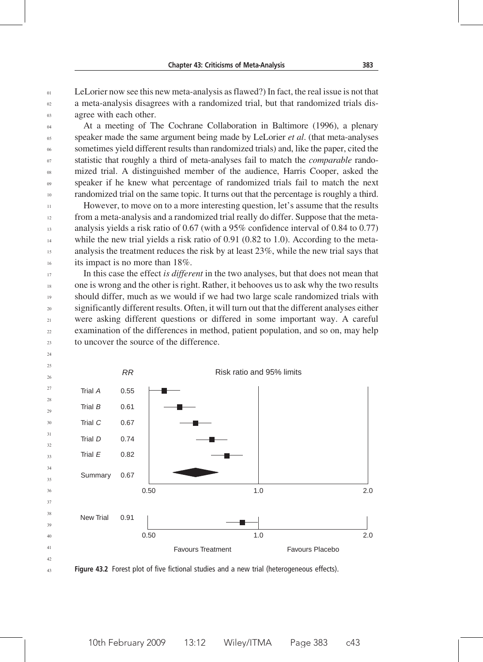LeLorier now see this new meta-analysis as flawed?) In fact, the real issue is not that a meta-analysis disagrees with a randomized trial, but that randomized trials disagree with each other.

43

At a meeting of The Cochrane Collaboration in Baltimore (1996), a plenary speaker made the same argument being made by LeLorier et al. (that meta-analyses sometimes yield different results than randomized trials) and, like the paper, cited the statistic that roughly a third of meta-analyses fail to match the comparable randomized trial. A distinguished member of the audience, Harris Cooper, asked the speaker if he knew what percentage of randomized trials fail to match the next randomized trial on the same topic. It turns out that the percentage is roughly a third.

However, to move on to a more interesting question, let's assume that the results from a meta-analysis and a randomized trial really do differ. Suppose that the metaanalysis yields a risk ratio of 0.67 (with a 95% confidence interval of 0.84 to 0.77) while the new trial yields a risk ratio of 0.91 (0.82 to 1.0). According to the metaanalysis the treatment reduces the risk by at least 23%, while the new trial says that its impact is no more than 18%.

In this case the effect is different in the two analyses, but that does not mean that one is wrong and the other is right. Rather, it behooves us to ask why the two results should differ, much as we would if we had two large scale randomized trials with significantly different results. Often, it will turn out that the different analyses either were asking different questions or differed in some important way. A careful examination of the differences in method, patient population, and so on, may help to uncover the source of the difference.



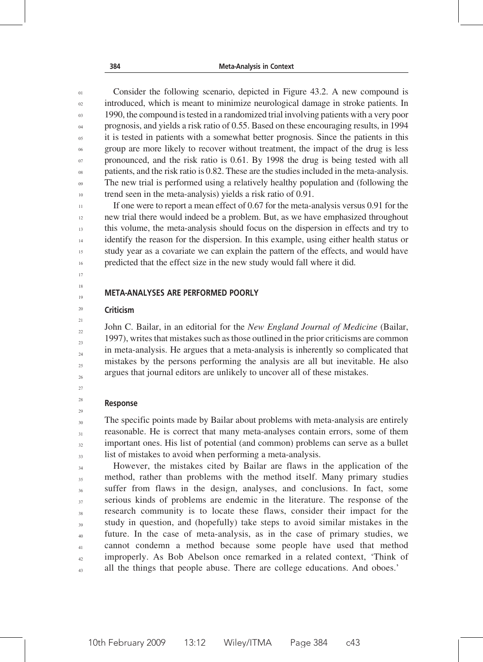Consider the following scenario, depicted in Figure 43.2. A new compound is introduced, which is meant to minimize neurological damage in stroke patients. In 1990, the compound is tested in a randomized trial involving patients with a very poor prognosis, and yields a risk ratio of 0.55. Based on these encouraging results, in 1994 it is tested in patients with a somewhat better prognosis. Since the patients in this group are more likely to recover without treatment, the impact of the drug is less pronounced, and the risk ratio is 0.61. By 1998 the drug is being tested with all patients, and the risk ratio is 0.82. These are the studies included in the meta-analysis. The new trial is performed using a relatively healthy population and (following the trend seen in the meta-analysis) yields a risk ratio of 0.91.

If one were to report a mean effect of 0.67 for the meta-analysis versus 0.91 for the new trial there would indeed be a problem. But, as we have emphasized throughout this volume, the meta-analysis should focus on the dispersion in effects and try to identify the reason for the dispersion. In this example, using either health status or study year as a covariate we can explain the pattern of the effects, and would have predicted that the effect size in the new study would fall where it did.

- 16 17
- 18 19

### META-ANALYSES ARE PERFORMED POORLY

### Criticism

John C. Bailar, in an editorial for the New England Journal of Medicine (Bailar, 1997), writes that mistakes such as those outlined in the prior criticisms are common in meta-analysis. He argues that a meta-analysis is inherently so complicated that mistakes by the persons performing the analysis are all but inevitable. He also argues that journal editors are unlikely to uncover all of these mistakes.

26 27  $28$ 

#### Response

The specific points made by Bailar about problems with meta-analysis are entirely reasonable. He is correct that many meta-analyses contain errors, some of them important ones. His list of potential (and common) problems can serve as a bullet list of mistakes to avoid when performing a meta-analysis.

However, the mistakes cited by Bailar are flaws in the application of the method, rather than problems with the method itself. Many primary studies suffer from flaws in the design, analyses, and conclusions. In fact, some serious kinds of problems are endemic in the literature. The response of the research community is to locate these flaws, consider their impact for the study in question, and (hopefully) take steps to avoid similar mistakes in the future. In the case of meta-analysis, as in the case of primary studies, we cannot condemn a method because some people have used that method improperly. As Bob Abelson once remarked in a related context, 'Think of all the things that people abuse. There are college educations. And oboes.' 34 35 36 37 38 39 40 41 42 43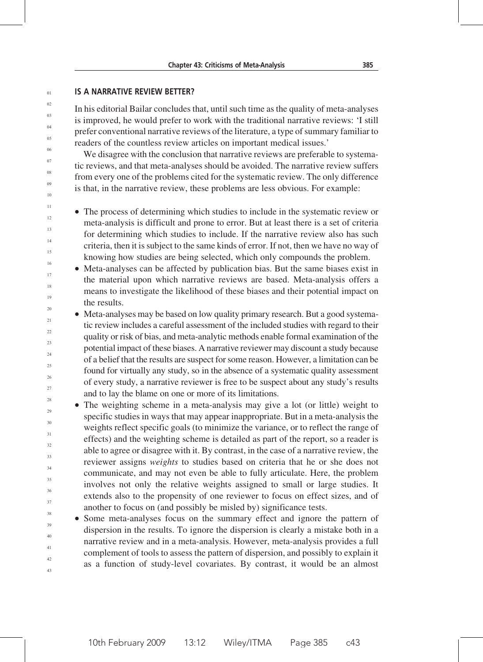#### IS A NARRATIVE REVIEW BETTER?

In his editorial Bailar concludes that, until such time as the quality of meta-analyses is improved, he would prefer to work with the traditional narrative reviews: 'I still prefer conventional narrative reviews of the literature, a type of summary familiar to readers of the countless review articles on important medical issues.'

We disagree with the conclusion that narrative reviews are preferable to systematic reviews, and that meta-analyses should be avoided. The narrative review suffers from every one of the problems cited for the systematic review. The only difference is that, in the narrative review, these problems are less obvious. For example:

- The process of determining which studies to include in the systematic review or meta-analysis is difficult and prone to error. But at least there is a set of criteria for determining which studies to include. If the narrative review also has such criteria, then it is subject to the same kinds of error. If not, then we have no way of knowing how studies are being selected, which only compounds the problem.
- Meta-analyses can be affected by publication bias. But the same biases exist in the material upon which narrative reviews are based. Meta-analysis offers a means to investigate the likelihood of these biases and their potential impact on the results.
- Meta-analyses may be based on low quality primary research. But a good systematic review includes a careful assessment of the included studies with regard to their quality or risk of bias, and meta-analytic methods enable formal examination of the potential impact of these biases. A narrative reviewer may discount a study because of a belief that the results are suspect for some reason. However, a limitation can be found for virtually any study, so in the absence of a systematic quality assessment of every study, a narrative reviewer is free to be suspect about any study's results and to lay the blame on one or more of its limitations.
- The weighting scheme in a meta-analysis may give a lot (or little) weight to specific studies in ways that may appear inappropriate. But in a meta-analysis the weights reflect specific goals (to minimize the variance, or to reflect the range of effects) and the weighting scheme is detailed as part of the report, so a reader is able to agree or disagree with it. By contrast, in the case of a narrative review, the reviewer assigns weights to studies based on criteria that he or she does not communicate, and may not even be able to fully articulate. Here, the problem involves not only the relative weights assigned to small or large studies. It extends also to the propensity of one reviewer to focus on effect sizes, and of another to focus on (and possibly be misled by) significance tests.
- Some meta-analyses focus on the summary effect and ignore the pattern of dispersion in the results. To ignore the dispersion is clearly a mistake both in a narrative review and in a meta-analysis. However, meta-analysis provides a full complement of tools to assess the pattern of dispersion, and possibly to explain it as a function of study-level covariates. By contrast, it would be an almost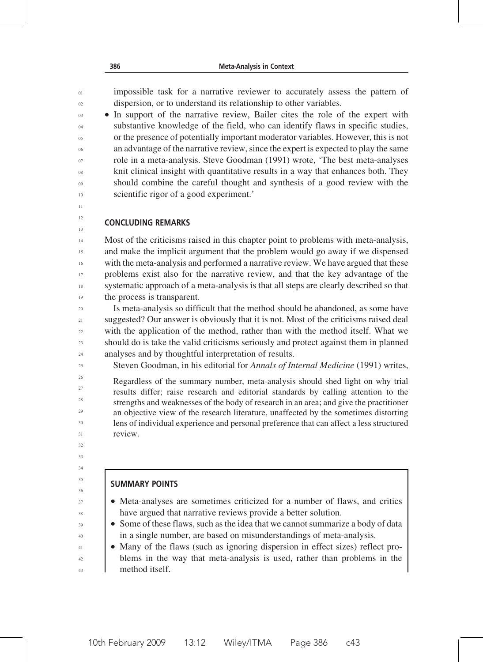impossible task for a narrative reviewer to accurately assess the pattern of dispersion, or to understand its relationship to other variables.

- In support of the narrative review, Bailer cites the role of the expert with substantive knowledge of the field, who can identify flaws in specific studies, or the presence of potentially important moderator variables. However, this is not an advantage of the narrative review, since the expert is expected to play the same role in a meta-analysis. Steve Goodman (1991) wrote, 'The best meta-analyses knit clinical insight with quantitative results in a way that enhances both. They should combine the careful thought and synthesis of a good review with the scientific rigor of a good experiment.'

10 11 12

01  $02$  $\alpha$  $\alpha$  $_{05}$ 06  $\alpha$  $08$ 09

# CONCLUDING REMARKS

Most of the criticisms raised in this chapter point to problems with meta-analysis, and make the implicit argument that the problem would go away if we dispensed with the meta-analysis and performed a narrative review. We have argued that these problems exist also for the narrative review, and that the key advantage of the systematic approach of a meta-analysis is that all steps are clearly described so that the process is transparent.

Is meta-analysis so difficult that the method should be abandoned, as some have suggested? Our answer is obviously that it is not. Most of the criticisms raised deal with the application of the method, rather than with the method itself. What we should do is take the valid criticisms seriously and protect against them in planned analyses and by thoughtful interpretation of results.

Steven Goodman, in his editorial for Annals of Internal Medicine (1991) writes,

Regardless of the summary number, meta-analysis should shed light on why trial results differ; raise research and editorial standards by calling attention to the strengths and weaknesses of the body of research in an area; and give the practitioner an objective view of the research literature, unaffected by the sometimes distorting lens of individual experience and personal preference that can affect a less structured review.

# SUMMARY POINTS

- Meta-analyses are sometimes criticized for a number of flaws, and critics have argued that narrative reviews provide a better solution.
- Some of these flaws, such as the idea that we cannot summarize a body of data in a single number, are based on misunderstandings of meta-analysis.
- Many of the flaws (such as ignoring dispersion in effect sizes) reflect problems in the way that meta-analysis is used, rather than problems in the method itself.